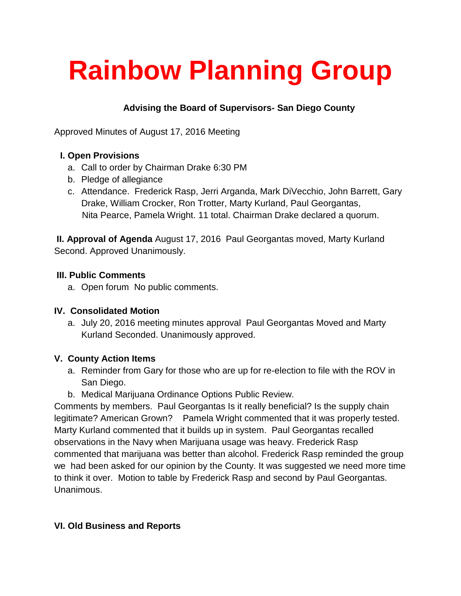# **Rainbow Planning Group**

## **Advising the Board of Supervisors- San Diego County**

Approved Minutes of August 17, 2016 Meeting

## **I. Open Provisions**

- a. Call to order by Chairman Drake 6:30 PM
- b. Pledge of allegiance
- c. Attendance. Frederick Rasp, Jerri Arganda, Mark DiVecchio, John Barrett, Gary Drake, William Crocker, Ron Trotter, Marty Kurland, Paul Georgantas, Nita Pearce, Pamela Wright. 11 total. Chairman Drake declared a quorum.

**II. Approval of Agenda** August 17, 2016 Paul Georgantas moved, Marty Kurland Second. Approved Unanimously.

#### **III. Public Comments**

a. Open forum No public comments.

## **IV. Consolidated Motion**

a. July 20, 2016 meeting minutes approval Paul Georgantas Moved and Marty Kurland Seconded. Unanimously approved.

## **V. County Action Items**

- a. Reminder from Gary for those who are up for re-election to file with the ROV in San Diego.
- b. Medical Marijuana Ordinance Options Public Review.

Comments by members. Paul Georgantas Is it really beneficial? Is the supply chain legitimate? American Grown? Pamela Wright commented that it was properly tested. Marty Kurland commented that it builds up in system. Paul Georgantas recalled observations in the Navy when Marijuana usage was heavy. Frederick Rasp commented that marijuana was better than alcohol. Frederick Rasp reminded the group we had been asked for our opinion by the County. It was suggested we need more time to think it over. Motion to table by Frederick Rasp and second by Paul Georgantas. Unanimous.

## **VI. Old Business and Reports**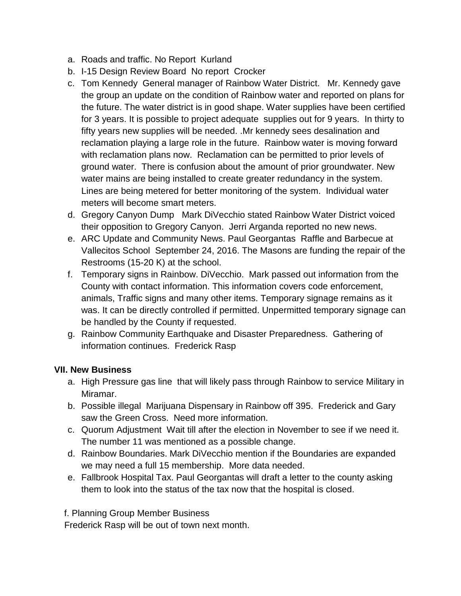- a. Roads and traffic. No Report Kurland
- b. I-15 Design Review Board No report Crocker
- c. Tom Kennedy General manager of Rainbow Water District. Mr. Kennedy gave the group an update on the condition of Rainbow water and reported on plans for the future. The water district is in good shape. Water supplies have been certified for 3 years. It is possible to project adequate supplies out for 9 years. In thirty to fifty years new supplies will be needed. .Mr kennedy sees desalination and reclamation playing a large role in the future. Rainbow water is moving forward with reclamation plans now. Reclamation can be permitted to prior levels of ground water. There is confusion about the amount of prior groundwater. New water mains are being installed to create greater redundancy in the system. Lines are being metered for better monitoring of the system. Individual water meters will become smart meters.
- d. Gregory Canyon Dump Mark DiVecchio stated Rainbow Water District voiced their opposition to Gregory Canyon. Jerri Arganda reported no new news.
- e. ARC Update and Community News. Paul Georgantas Raffle and Barbecue at Vallecitos School September 24, 2016. The Masons are funding the repair of the Restrooms (15-20 K) at the school.
- f. Temporary signs in Rainbow. DiVecchio. Mark passed out information from the County with contact information. This information covers code enforcement, animals, Traffic signs and many other items. Temporary signage remains as it was. It can be directly controlled if permitted. Unpermitted temporary signage can be handled by the County if requested.
- g. Rainbow Community Earthquake and Disaster Preparedness. Gathering of information continues. Frederick Rasp

#### **VII. New Business**

- a. High Pressure gas line that will likely pass through Rainbow to service Military in Miramar.
- b. Possible illegal Marijuana Dispensary in Rainbow off 395. Frederick and Gary saw the Green Cross. Need more information.
- c. Quorum Adjustment Wait till after the election in November to see if we need it. The number 11 was mentioned as a possible change.
- d. Rainbow Boundaries. Mark DiVecchio mention if the Boundaries are expanded we may need a full 15 membership. More data needed.
- e. Fallbrook Hospital Tax. Paul Georgantas will draft a letter to the county asking them to look into the status of the tax now that the hospital is closed.

f. Planning Group Member Business

Frederick Rasp will be out of town next month.